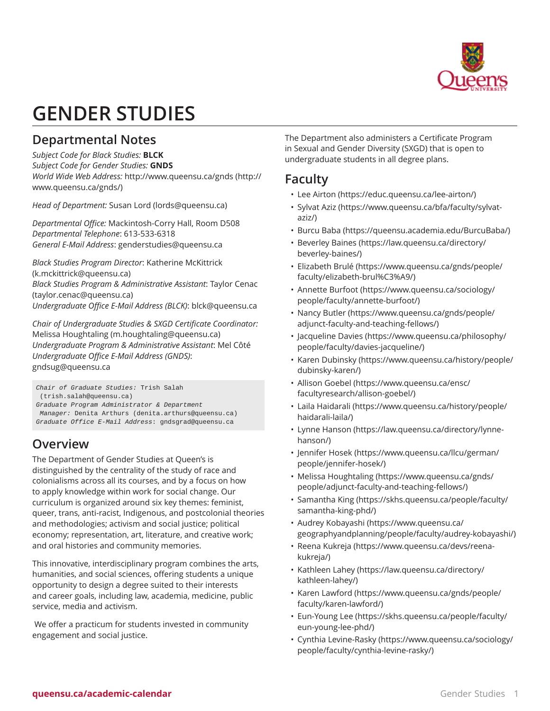

# **GENDER STUDIES**

# **Departmental Notes**

*Subject Code for Black Studies:* **BLCK** *Subject Code for Gender Studies:* **GNDS** *World Wide Web Address:* [http://www.queensu.ca/gnds](http://www.queensu.ca/gnds/) ([http://](http://www.queensu.ca/gnds/) [www.queensu.ca/gnds/\)](http://www.queensu.ca/gnds/)

*Head of Department:* [Susan](mailto:lords@queensu.ca) Lord [\(lords@queensu.ca](lords@queensu.ca))

*Departmental Office:* Mackintosh-Corry Hall, Room D508 *Departmental Telephone*: 613-533-6318 *General E-Mail Address*: [genderstudies@queensu.ca](mailto:genderstudies@queensu.ca)

*Black Studies Program Director*: [Katherine McKittrick](mailto:k.mckittrick@queensu.ca) ([k.mckittrick@queensu.ca\)](k.mckittrick@queensu.ca) *Black Studies Program & Administrative Assistant*: Taylor [Cenac](mailto:taylor.cenac@queensu.ca) (<taylor.cenac@queensu.ca>)

*Undergraduate Office E-Mail Address (BLCK)*: [blck@queensu.ca](mailto:blck@queensu.ca)

*Chair of Undergraduate Studies & SXGD Certificate Coordinator:* [Melissa Houghtaling](mailto:m.houghtaling@queensu.ca) ([m.houghtaling@queensu.ca\)](m.houghtaling@queensu.ca) *Undergraduate Program & Administrative Assistant*: Mel Côté *Undergraduate Office E-Mail Address (GNDS)*: [gndsug@queensu.ca](mailto:gndsug@queensu.ca)

Chair of Graduate Studies: [Trish Salah](mailto:trish.salah@queensu.ca)

([trish.salah@queensu.ca\)](trish.salah@queensu.ca)

Graduate Program Administrator & Department Manager: [Denita Arthurs](mailto:denita.arthurs@queensu.ca) [\(denita.arthurs@queensu.ca](denita.arthurs@queensu.ca))

Graduate Office E-Mail Address: [gndsgrad@queensu.ca](mailto:gndsgrad@queensu.ca)

# **Overview**

The Department of Gender Studies at Queen's is distinguished by the centrality of the study of race and colonialisms across all its courses, and by a focus on how to apply knowledge within work for social change. Our curriculum is organized around six key themes: feminist, queer, trans, anti-racist, Indigenous, and postcolonial theories and methodologies; activism and social justice; political economy; representation, art, literature, and creative work; and oral histories and community memories.

This innovative, interdisciplinary program combines the arts, humanities, and social sciences, offering students a unique opportunity to design a degree suited to their interests and career goals, including law, academia, medicine, public service, media and activism.

We offer a practicum for students invested in community engagement and social justice.

The Department also administers a Certificate Program in Sexual and Gender Diversity (SXGD) that is open to undergraduate students in all degree plans.

# **Faculty**

- [Lee Airton](https://educ.queensu.ca/lee-airton/) [\(https://educ.queensu.ca/lee-airton/\)](https://educ.queensu.ca/lee-airton/)
- [Sylvat Aziz](https://www.queensu.ca/bfa/faculty/sylvat-aziz/) [\(https://www.queensu.ca/bfa/faculty/sylvat](https://www.queensu.ca/bfa/faculty/sylvat-aziz/)[aziz/](https://www.queensu.ca/bfa/faculty/sylvat-aziz/))
- [Burcu](https://queensu.academia.edu/BurcuBaba/) Baba ([https://queensu.academia.edu/BurcuBaba/\)](https://queensu.academia.edu/BurcuBaba/)
- [Beverley](https://law.queensu.ca/directory/beverley-baines/) Baines [\(https://law.queensu.ca/directory/](https://law.queensu.ca/directory/beverley-baines/) [beverley-baines/](https://law.queensu.ca/directory/beverley-baines/))
- [Elizabeth Brulé](https://www.queensu.ca/gnds/people/faculty/elizabeth-brul%C3%A9/) ([https://www.queensu.ca/gnds/people/](https://www.queensu.ca/gnds/people/faculty/elizabeth-brul%C3%A9/) [faculty/elizabeth-brul%C3%A9/](https://www.queensu.ca/gnds/people/faculty/elizabeth-brul%C3%A9/))
- [Annette Burfoot](https://www.queensu.ca/sociology/people/faculty/annette-burfoot/) ([https://www.queensu.ca/sociology/](https://www.queensu.ca/sociology/people/faculty/annette-burfoot/) [people/faculty/annette-burfoot/\)](https://www.queensu.ca/sociology/people/faculty/annette-burfoot/)
- [Nancy Butler](https://www.queensu.ca/gnds/people/adjunct-faculty-and-teaching-fellows/) [\(https://www.queensu.ca/gnds/people/](https://www.queensu.ca/gnds/people/adjunct-faculty-and-teaching-fellows/) [adjunct-faculty-and-teaching-fellows/](https://www.queensu.ca/gnds/people/adjunct-faculty-and-teaching-fellows/))
- [Jacqueline Davies](https://www.queensu.ca/philosophy/people/faculty/davies-jacqueline/) [\(https://www.queensu.ca/philosophy/](https://www.queensu.ca/philosophy/people/faculty/davies-jacqueline/) [people/faculty/davies-jacqueline/](https://www.queensu.ca/philosophy/people/faculty/davies-jacqueline/))
- Karen [Dubinsky](https://www.queensu.ca/history/people/dubinsky-karen/) [\(https://www.queensu.ca/history/people/](https://www.queensu.ca/history/people/dubinsky-karen/) [dubinsky-karen/](https://www.queensu.ca/history/people/dubinsky-karen/))
- [Allison Goebel](https://www.queensu.ca/ensc/facultyresearch/allison-goebel/) [\(https://www.queensu.ca/ensc/](https://www.queensu.ca/ensc/facultyresearch/allison-goebel/) [facultyresearch/allison-goebel/](https://www.queensu.ca/ensc/facultyresearch/allison-goebel/))
- Laila [Haidarali](https://www.queensu.ca/history/people/haidarali-laila/) [\(https://www.queensu.ca/history/people/](https://www.queensu.ca/history/people/haidarali-laila/) [haidarali-laila/\)](https://www.queensu.ca/history/people/haidarali-laila/)
- [Lynne Hanson](https://law.queensu.ca/directory/lynne-hanson/) [\(https://law.queensu.ca/directory/lynne](https://law.queensu.ca/directory/lynne-hanson/)[hanson/\)](https://law.queensu.ca/directory/lynne-hanson/)
- [Jennifer Hosek](https://www.queensu.ca/llcu/german/people/jennifer-hosek/) [\(https://www.queensu.ca/llcu/german/](https://www.queensu.ca/llcu/german/people/jennifer-hosek/) [people/jennifer-hosek/\)](https://www.queensu.ca/llcu/german/people/jennifer-hosek/)
- [Melissa Houghtaling](https://www.queensu.ca/gnds/people/adjunct-faculty-and-teaching-fellows/) [\(https://www.queensu.ca/gnds/](https://www.queensu.ca/gnds/people/adjunct-faculty-and-teaching-fellows/) [people/adjunct-faculty-and-teaching-fellows/](https://www.queensu.ca/gnds/people/adjunct-faculty-and-teaching-fellows/))
- [Samantha King](https://skhs.queensu.ca/people/faculty/samantha-king-phd/) [\(https://skhs.queensu.ca/people/faculty/](https://skhs.queensu.ca/people/faculty/samantha-king-phd/) [samantha-king-phd/](https://skhs.queensu.ca/people/faculty/samantha-king-phd/))
- Audrey [Kobayashi](https://www.queensu.ca/geographyandplanning/people/faculty/audrey-kobayashi/) [\(https://www.queensu.ca/](https://www.queensu.ca/geographyandplanning/people/faculty/audrey-kobayashi/) [geographyandplanning/people/faculty/audrey-kobayashi/\)](https://www.queensu.ca/geographyandplanning/people/faculty/audrey-kobayashi/)
- Reena [Kukreja](https://www.queensu.ca/devs/reena-kukreja/) [\(https://www.queensu.ca/devs/reena](https://www.queensu.ca/devs/reena-kukreja/)[kukreja/](https://www.queensu.ca/devs/reena-kukreja/))
- [Kathleen](https://law.queensu.ca/directory/kathleen-lahey/) Lahey [\(https://law.queensu.ca/directory/](https://law.queensu.ca/directory/kathleen-lahey/) [kathleen-lahey/\)](https://law.queensu.ca/directory/kathleen-lahey/)
- Karen [Lawford](https://www.queensu.ca/gnds/people/faculty/karen-lawford/) [\(https://www.queensu.ca/gnds/people/](https://www.queensu.ca/gnds/people/faculty/karen-lawford/) [faculty/karen-lawford/](https://www.queensu.ca/gnds/people/faculty/karen-lawford/))
- [Eun-Young](https://skhs.queensu.ca/people/faculty/eun-young-lee-phd/) Lee [\(https://skhs.queensu.ca/people/faculty/](https://skhs.queensu.ca/people/faculty/eun-young-lee-phd/) [eun-young-lee-phd/](https://skhs.queensu.ca/people/faculty/eun-young-lee-phd/))
- Cynthia [Levine-Rasky](https://www.queensu.ca/sociology/people/faculty/cynthia-levine-rasky/) [\(https://www.queensu.ca/sociology/](https://www.queensu.ca/sociology/people/faculty/cynthia-levine-rasky/) [people/faculty/cynthia-levine-rasky/](https://www.queensu.ca/sociology/people/faculty/cynthia-levine-rasky/))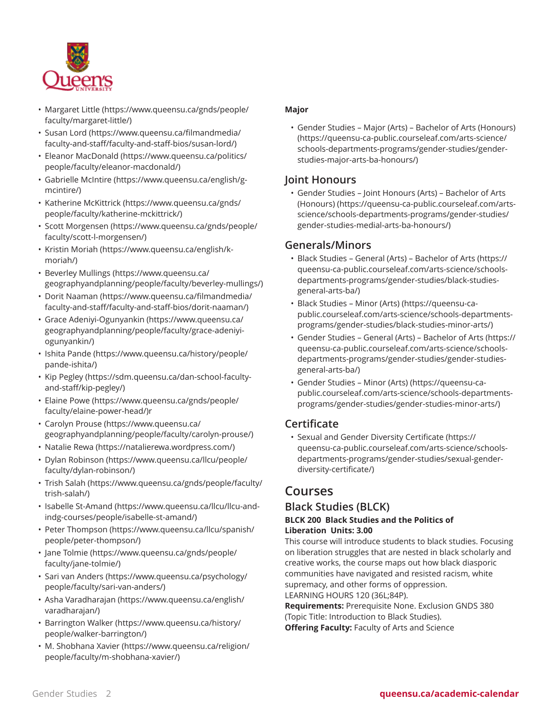

- [Margaret](https://www.queensu.ca/gnds/people/faculty/margaret-little/) Little [\(https://www.queensu.ca/gnds/people/](https://www.queensu.ca/gnds/people/faculty/margaret-little/) [faculty/margaret-little/](https://www.queensu.ca/gnds/people/faculty/margaret-little/))
- [Susan](https://www.queensu.ca/filmandmedia/faculty-and-staff/faculty-and-staff-bios/susan-lord/) Lord ([https://www.queensu.ca/filmandmedia/](https://www.queensu.ca/filmandmedia/faculty-and-staff/faculty-and-staff-bios/susan-lord/) [faculty-and-staff/faculty-and-staff-bios/susan-lord/\)](https://www.queensu.ca/filmandmedia/faculty-and-staff/faculty-and-staff-bios/susan-lord/)
- [Eleanor MacDonald](https://www.queensu.ca/politics/people/faculty/eleanor-macdonald/) ([https://www.queensu.ca/politics/](https://www.queensu.ca/politics/people/faculty/eleanor-macdonald/) [people/faculty/eleanor-macdonald/](https://www.queensu.ca/politics/people/faculty/eleanor-macdonald/))
- [Gabrielle](https://www.queensu.ca/english/g-mcintire/) McIntire [\(https://www.queensu.ca/english/g](https://www.queensu.ca/english/g-mcintire/)[mcintire/\)](https://www.queensu.ca/english/g-mcintire/)
- [Katherine McKittrick](https://www.queensu.ca/gnds/people/faculty/katherine-mckittrick/) ([https://www.queensu.ca/gnds/](https://www.queensu.ca/gnds/people/faculty/katherine-mckittrick/) [people/faculty/katherine-mckittrick/](https://www.queensu.ca/gnds/people/faculty/katherine-mckittrick/))
- Scott [Morgensen](https://www.queensu.ca/gnds/people/faculty/scott-l-morgensen/) ([https://www.queensu.ca/gnds/people/](https://www.queensu.ca/gnds/people/faculty/scott-l-morgensen/) [faculty/scott-l-morgensen/\)](https://www.queensu.ca/gnds/people/faculty/scott-l-morgensen/)
- [Kristin Moriah](https://www.queensu.ca/english/k-moriah/) [\(https://www.queensu.ca/english/k](https://www.queensu.ca/english/k-moriah/)[moriah/\)](https://www.queensu.ca/english/k-moriah/)
- [Beverley](https://www.queensu.ca/geographyandplanning/people/faculty/beverley-mullings/) Mullings [\(https://www.queensu.ca/](https://www.queensu.ca/geographyandplanning/people/faculty/beverley-mullings/) [geographyandplanning/people/faculty/beverley-mullings/](https://www.queensu.ca/geographyandplanning/people/faculty/beverley-mullings/))
- [Dorit Naaman](https://www.queensu.ca/filmandmedia/faculty-and-staff/faculty-and-staff-bios/dorit-naaman/) [\(https://www.queensu.ca/filmandmedia/](https://www.queensu.ca/filmandmedia/faculty-and-staff/faculty-and-staff-bios/dorit-naaman/) [faculty-and-staff/faculty-and-staff-bios/dorit-naaman/](https://www.queensu.ca/filmandmedia/faculty-and-staff/faculty-and-staff-bios/dorit-naaman/))
- Grace [Adeniyi-Ogunyankin](https://www.queensu.ca/geographyandplanning/people/faculty/grace-adeniyi-ogunyankin/) ([https://www.queensu.ca/](https://www.queensu.ca/geographyandplanning/people/faculty/grace-adeniyi-ogunyankin/) [geographyandplanning/people/faculty/grace-adeniyi](https://www.queensu.ca/geographyandplanning/people/faculty/grace-adeniyi-ogunyankin/)[ogunyankin/](https://www.queensu.ca/geographyandplanning/people/faculty/grace-adeniyi-ogunyankin/))
- [Ishita Pande](https://www.queensu.ca/history/people/pande-ishita/) ([https://www.queensu.ca/history/people/](https://www.queensu.ca/history/people/pande-ishita/) [pande-ishita/](https://www.queensu.ca/history/people/pande-ishita/))
- Kip [Pegley](https://sdm.queensu.ca/dan-school-faculty-and-staff/kip-pegley/) ([https://sdm.queensu.ca/dan-school-faculty](https://sdm.queensu.ca/dan-school-faculty-and-staff/kip-pegley/)[and-staff/kip-pegley/\)](https://sdm.queensu.ca/dan-school-faculty-and-staff/kip-pegley/)
- [Elaine](https://www.queensu.ca/gnds/people/faculty/elaine-power-head/) Powe [\(https://www.queensu.ca/gnds/people/](https://www.queensu.ca/gnds/people/faculty/elaine-power-head/) [faculty/elaine-power-head/\)](https://www.queensu.ca/gnds/people/faculty/elaine-power-head/)r
- [Carolyn](https://www.queensu.ca/geographyandplanning/people/faculty/carolyn-prouse/) Prouse [\(https://www.queensu.ca/](https://www.queensu.ca/geographyandplanning/people/faculty/carolyn-prouse/) [geographyandplanning/people/faculty/carolyn-prouse/](https://www.queensu.ca/geographyandplanning/people/faculty/carolyn-prouse/))
- [Natalie](https://natalierewa.wordpress.com/) Rewa [\(https://natalierewa.wordpress.com/\)](https://natalierewa.wordpress.com/)
- [Dylan Robinson](https://www.queensu.ca/llcu/people/faculty/dylan-robinson/) ([https://www.queensu.ca/llcu/people/](https://www.queensu.ca/llcu/people/faculty/dylan-robinson/) [faculty/dylan-robinson/\)](https://www.queensu.ca/llcu/people/faculty/dylan-robinson/)
- Trish [Salah](https://www.queensu.ca/gnds/people/faculty/trish-salah/) [\(https://www.queensu.ca/gnds/people/faculty/](https://www.queensu.ca/gnds/people/faculty/trish-salah/) [trish-salah/](https://www.queensu.ca/gnds/people/faculty/trish-salah/))
- [Isabelle St-Amand](https://www.queensu.ca/llcu/llcu-and-indg-courses/people/isabelle-st-amand/) [\(https://www.queensu.ca/llcu/llcu-and](https://www.queensu.ca/llcu/llcu-and-indg-courses/people/isabelle-st-amand/)[indg-courses/people/isabelle-st-amand/\)](https://www.queensu.ca/llcu/llcu-and-indg-courses/people/isabelle-st-amand/)
- [Peter Thompson](https://www.queensu.ca/llcu/spanish/people/peter-thompson/) ([https://www.queensu.ca/llcu/spanish/](https://www.queensu.ca/llcu/spanish/people/peter-thompson/) [people/peter-thompson/](https://www.queensu.ca/llcu/spanish/people/peter-thompson/))
- Jane [Tolmie](https://www.queensu.ca/gnds/people/faculty/jane-tolmie/) [\(https://www.queensu.ca/gnds/people/](https://www.queensu.ca/gnds/people/faculty/jane-tolmie/) [faculty/jane-tolmie/\)](https://www.queensu.ca/gnds/people/faculty/jane-tolmie/)
- [Sari van Anders](https://www.queensu.ca/psychology/people/faculty/sari-van-anders/) [\(https://www.queensu.ca/psychology/](https://www.queensu.ca/psychology/people/faculty/sari-van-anders/) [people/faculty/sari-van-anders/\)](https://www.queensu.ca/psychology/people/faculty/sari-van-anders/)
- Asha [Varadharajan](https://www.queensu.ca/english/varadharajan/) ([https://www.queensu.ca/english/](https://www.queensu.ca/english/varadharajan/) [varadharajan/\)](https://www.queensu.ca/english/varadharajan/)
- [Barrington](https://www.queensu.ca/history/people/walker-barrington/) Walker ([https://www.queensu.ca/history/](https://www.queensu.ca/history/people/walker-barrington/) [people/walker-barrington/\)](https://www.queensu.ca/history/people/walker-barrington/)
- [M. Shobhana Xavier](https://www.queensu.ca/religion/people/faculty/m-shobhana-xavier/) [\(https://www.queensu.ca/religion/](https://www.queensu.ca/religion/people/faculty/m-shobhana-xavier/) [people/faculty/m-shobhana-xavier/\)](https://www.queensu.ca/religion/people/faculty/m-shobhana-xavier/)

### **Major**

• [Gender Studies – Major \(Arts\) – Bachelor of Arts \(Honours\)](https://queensu-ca-public.courseleaf.com/arts-science/schools-departments-programs/gender-studies/gender-studies-major-arts-ba-honours/) ([https://queensu-ca-public.courseleaf.com/arts-science/](https://queensu-ca-public.courseleaf.com/arts-science/schools-departments-programs/gender-studies/gender-studies-major-arts-ba-honours/) [schools-departments-programs/gender-studies/gender](https://queensu-ca-public.courseleaf.com/arts-science/schools-departments-programs/gender-studies/gender-studies-major-arts-ba-honours/)[studies-major-arts-ba-honours/](https://queensu-ca-public.courseleaf.com/arts-science/schools-departments-programs/gender-studies/gender-studies-major-arts-ba-honours/))

## **Joint Honours**

• [Gender Studies – Joint Honours \(Arts\) – Bachelor of Arts](https://queensu-ca-public.courseleaf.com/arts-science/schools-departments-programs/gender-studies/gender-studies-medial-arts-ba-honours/) [\(Honours\)](https://queensu-ca-public.courseleaf.com/arts-science/schools-departments-programs/gender-studies/gender-studies-medial-arts-ba-honours/) [\(https://queensu-ca-public.courseleaf.com/arts](https://queensu-ca-public.courseleaf.com/arts-science/schools-departments-programs/gender-studies/gender-studies-medial-arts-ba-honours/)[science/schools-departments-programs/gender-studies/](https://queensu-ca-public.courseleaf.com/arts-science/schools-departments-programs/gender-studies/gender-studies-medial-arts-ba-honours/) [gender-studies-medial-arts-ba-honours/](https://queensu-ca-public.courseleaf.com/arts-science/schools-departments-programs/gender-studies/gender-studies-medial-arts-ba-honours/))

## **Generals/Minors**

- Black Studies General (Arts) [Bachelor](https://queensu-ca-public.courseleaf.com/arts-science/schools-departments-programs/gender-studies/black-studies-general-arts-ba/) of Arts [\(https://](https://queensu-ca-public.courseleaf.com/arts-science/schools-departments-programs/gender-studies/black-studies-general-arts-ba/) [queensu-ca-public.courseleaf.com/arts-science/schools](https://queensu-ca-public.courseleaf.com/arts-science/schools-departments-programs/gender-studies/black-studies-general-arts-ba/)[departments-programs/gender-studies/black-studies](https://queensu-ca-public.courseleaf.com/arts-science/schools-departments-programs/gender-studies/black-studies-general-arts-ba/)[general-arts-ba/](https://queensu-ca-public.courseleaf.com/arts-science/schools-departments-programs/gender-studies/black-studies-general-arts-ba/))
- [Black Studies Minor \(Arts\)](https://queensu-ca-public.courseleaf.com/arts-science/schools-departments-programs/gender-studies/black-studies-minor-arts/) [\(https://queensu-ca](https://queensu-ca-public.courseleaf.com/arts-science/schools-departments-programs/gender-studies/black-studies-minor-arts/)[public.courseleaf.com/arts-science/schools-departments](https://queensu-ca-public.courseleaf.com/arts-science/schools-departments-programs/gender-studies/black-studies-minor-arts/)[programs/gender-studies/black-studies-minor-arts/](https://queensu-ca-public.courseleaf.com/arts-science/schools-departments-programs/gender-studies/black-studies-minor-arts/))
- Gender Studies General (Arts) [Bachelor](https://queensu-ca-public.courseleaf.com/arts-science/schools-departments-programs/gender-studies/gender-studies-general-arts-ba/) of Arts [\(https://](https://queensu-ca-public.courseleaf.com/arts-science/schools-departments-programs/gender-studies/gender-studies-general-arts-ba/) [queensu-ca-public.courseleaf.com/arts-science/schools](https://queensu-ca-public.courseleaf.com/arts-science/schools-departments-programs/gender-studies/gender-studies-general-arts-ba/)[departments-programs/gender-studies/gender-studies](https://queensu-ca-public.courseleaf.com/arts-science/schools-departments-programs/gender-studies/gender-studies-general-arts-ba/)[general-arts-ba/](https://queensu-ca-public.courseleaf.com/arts-science/schools-departments-programs/gender-studies/gender-studies-general-arts-ba/))
- [Gender Studies Minor \(Arts\)](https://queensu-ca-public.courseleaf.com/arts-science/schools-departments-programs/gender-studies/gender-studies-minor-arts/) [\(https://queensu-ca](https://queensu-ca-public.courseleaf.com/arts-science/schools-departments-programs/gender-studies/gender-studies-minor-arts/)[public.courseleaf.com/arts-science/schools-departments](https://queensu-ca-public.courseleaf.com/arts-science/schools-departments-programs/gender-studies/gender-studies-minor-arts/)[programs/gender-studies/gender-studies-minor-arts/](https://queensu-ca-public.courseleaf.com/arts-science/schools-departments-programs/gender-studies/gender-studies-minor-arts/))

# **Certificate**

• Sexual and Gender Diversity [Certificate](https://queensu-ca-public.courseleaf.com/arts-science/schools-departments-programs/gender-studies/sexual-gender-diversity-certificate/) [\(https://](https://queensu-ca-public.courseleaf.com/arts-science/schools-departments-programs/gender-studies/sexual-gender-diversity-certificate/) [queensu-ca-public.courseleaf.com/arts-science/schools](https://queensu-ca-public.courseleaf.com/arts-science/schools-departments-programs/gender-studies/sexual-gender-diversity-certificate/)[departments-programs/gender-studies/sexual-gender](https://queensu-ca-public.courseleaf.com/arts-science/schools-departments-programs/gender-studies/sexual-gender-diversity-certificate/)[diversity-certificate/\)](https://queensu-ca-public.courseleaf.com/arts-science/schools-departments-programs/gender-studies/sexual-gender-diversity-certificate/)

# **Courses**

# **Black Studies (BLCK)**

#### **BLCK 200 Black Studies and the Politics of Liberation Units: 3.00**

This course will introduce students to black studies. Focusing on liberation struggles that are nested in black scholarly and creative works, the course maps out how black diasporic communities have navigated and resisted racism, white supremacy, and other forms of oppression.

LEARNING HOURS 120 (36L;84P).

**Requirements:** Prerequisite None. Exclusion GNDS 380 (Topic Title: Introduction to Black Studies). **Offering Faculty:** Faculty of Arts and Science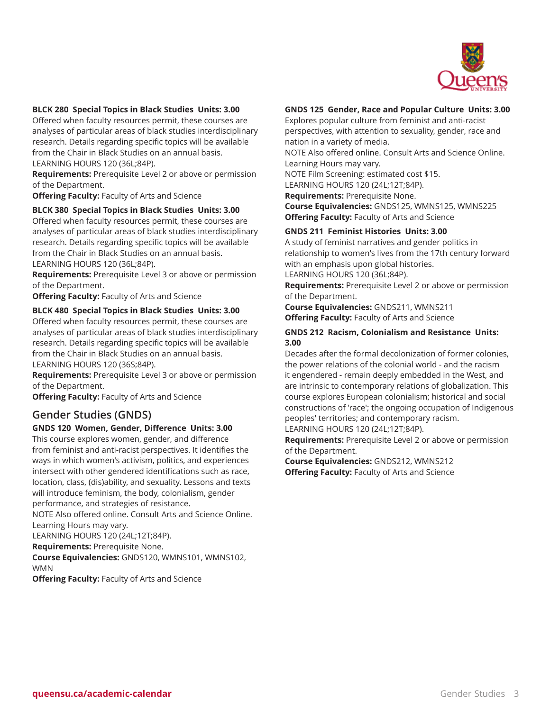

#### **BLCK 280 Special Topics in Black Studies Units: 3.00**

Offered when faculty resources permit, these courses are analyses of particular areas of black studies interdisciplinary research. Details regarding specific topics will be available from the Chair in Black Studies on an annual basis. LEARNING HOURS 120 (36L;84P).

**Requirements:** Prerequisite Level 2 or above or permission of the Department.

**Offering Faculty:** Faculty of Arts and Science

#### **BLCK 380 Special Topics in Black Studies Units: 3.00**

Offered when faculty resources permit, these courses are analyses of particular areas of black studies interdisciplinary research. Details regarding specific topics will be available from the Chair in Black Studies on an annual basis. LEARNING HOURS 120 (36L;84P).

**Requirements:** Prerequisite Level 3 or above or permission of the Department.

**Offering Faculty:** Faculty of Arts and Science

#### **BLCK 480 Special Topics in Black Studies Units: 3.00**

Offered when faculty resources permit, these courses are analyses of particular areas of black studies interdisciplinary research. Details regarding specific topics will be available from the Chair in Black Studies on an annual basis. LEARNING HOURS 120 (36S;84P).

**Requirements:** Prerequisite Level 3 or above or permission of the Department.

**Offering Faculty:** Faculty of Arts and Science

### **Gender Studies (GNDS)**

#### **GNDS 120 Women, Gender, Difference Units: 3.00**

This course explores women, gender, and difference from feminist and anti-racist perspectives. It identifies the ways in which women's activism, politics, and experiences intersect with other gendered identifications such as race, location, class, (dis)ability, and sexuality. Lessons and texts will introduce feminism, the body, colonialism, gender performance, and strategies of resistance.

NOTE Also offered online. Consult Arts and Science Online. Learning Hours may vary.

LEARNING HOURS 120 (24L;12T;84P).

**Requirements:** Prerequisite None.

**Course Equivalencies:** GNDS120, WMNS101, WMNS102, WMN

**Offering Faculty:** Faculty of Arts and Science

#### **GNDS 125 Gender, Race and Popular Culture Units: 3.00**

Explores popular culture from feminist and anti-racist perspectives, with attention to sexuality, gender, race and nation in a variety of media.

NOTE Also offered online. Consult Arts and Science Online. Learning Hours may vary.

NOTE Film Screening: estimated cost \$15.

LEARNING HOURS 120 (24L;12T;84P).

**Requirements:** Prerequisite None.

**Course Equivalencies:** GNDS125, WMNS125, WMNS225 **Offering Faculty:** Faculty of Arts and Science

#### **GNDS 211 Feminist Histories Units: 3.00**

A study of feminist narratives and gender politics in relationship to women's lives from the 17th century forward with an emphasis upon global histories.

LEARNING HOURS 120 (36L;84P).

**Requirements:** Prerequisite Level 2 or above or permission of the Department.

**Course Equivalencies:** GNDS211, WMNS211 **Offering Faculty:** Faculty of Arts and Science

#### **GNDS 212 Racism, Colonialism and Resistance Units: 3.00**

Decades after the formal decolonization of former colonies, the power relations of the colonial world - and the racism it engendered - remain deeply embedded in the West, and are intrinsic to contemporary relations of globalization. This course explores European colonialism; historical and social constructions of 'race'; the ongoing occupation of Indigenous peoples' territories; and contemporary racism.

LEARNING HOURS 120 (24L;12T;84P).

**Requirements:** Prerequisite Level 2 or above or permission of the Department.

**Course Equivalencies:** GNDS212, WMNS212 **Offering Faculty:** Faculty of Arts and Science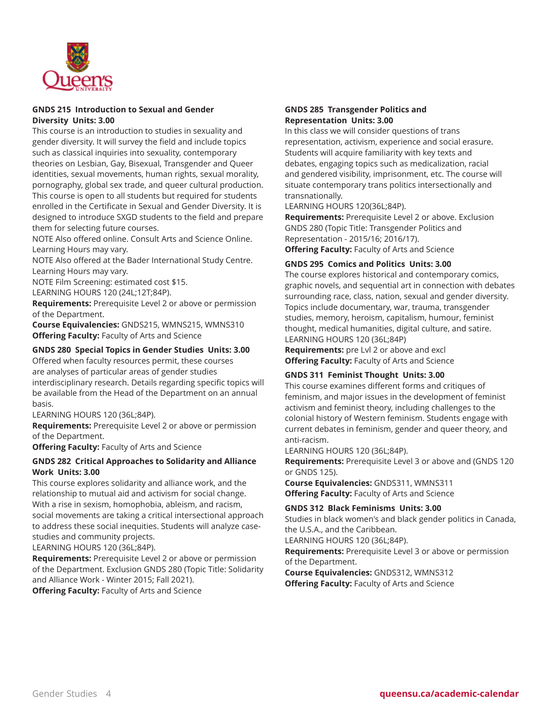

#### **GNDS 215 Introduction to Sexual and Gender Diversity Units: 3.00**

This course is an introduction to studies in sexuality and gender diversity. It will survey the field and include topics such as classical inquiries into sexuality, contemporary theories on Lesbian, Gay, Bisexual, Transgender and Queer identities, sexual movements, human rights, sexual morality, pornography, global sex trade, and queer cultural production. This course is open to all students but required for students enrolled in the Certificate in Sexual and Gender Diversity. It is designed to introduce SXGD students to the field and prepare them for selecting future courses.

NOTE Also offered online. Consult Arts and Science Online. Learning Hours may vary.

NOTE Also offered at the Bader International Study Centre. Learning Hours may vary.

NOTE Film Screening: estimated cost \$15.

LEARNING HOURS 120 (24L;12T;84P).

**Requirements:** Prerequisite Level 2 or above or permission of the Department.

**Course Equivalencies:** GNDS215, WMNS215, WMNS310 **Offering Faculty:** Faculty of Arts and Science

#### **GNDS 280 Special Topics in Gender Studies Units: 3.00**

Offered when faculty resources permit, these courses are analyses of particular areas of gender studies interdisciplinary research. Details regarding specific topics will be available from the Head of the Department on an annual basis.

#### LEARNING HOURS 120 (36L;84P).

**Requirements:** Prerequisite Level 2 or above or permission of the Department.

**Offering Faculty:** Faculty of Arts and Science

#### **GNDS 282 Critical Approaches to Solidarity and Alliance Work Units: 3.00**

This course explores solidarity and alliance work, and the relationship to mutual aid and activism for social change. With a rise in sexism, homophobia, ableism, and racism, social movements are taking a critical intersectional approach to address these social inequities. Students will analyze casestudies and community projects.

LEARNING HOURS 120 (36L;84P).

**Requirements:** Prerequisite Level 2 or above or permission of the Department. Exclusion GNDS 280 (Topic Title: Solidarity and Alliance Work - Winter 2015; Fall 2021).

**Offering Faculty:** Faculty of Arts and Science

#### **GNDS 285 Transgender Politics and Representation Units: 3.00**

In this class we will consider questions of trans representation, activism, experience and social erasure. Students will acquire familiarity with key texts and debates, engaging topics such as medicalization, racial and gendered visibility, imprisonment, etc. The course will situate contemporary trans politics intersectionally and transnationally.

LEARNING HOURS 120(36L;84P).

**Requirements:** Prerequisite Level 2 or above. Exclusion GNDS 280 (Topic Title: Transgender Politics and Representation - 2015/16; 2016/17).

**Offering Faculty:** Faculty of Arts and Science

#### **GNDS 295 Comics and Politics Units: 3.00**

The course explores historical and contemporary comics, graphic novels, and sequential art in connection with debates surrounding race, class, nation, sexual and gender diversity. Topics include documentary, war, trauma, transgender studies, memory, heroism, capitalism, humour, feminist thought, medical humanities, digital culture, and satire. LEARNING HOURS 120 (36L;84P)

**Requirements:** pre Lvl 2 or above and excl **Offering Faculty:** Faculty of Arts and Science

#### **GNDS 311 Feminist Thought Units: 3.00**

This course examines different forms and critiques of feminism, and major issues in the development of feminist activism and feminist theory, including challenges to the colonial history of Western feminism. Students engage with current debates in feminism, gender and queer theory, and anti-racism.

LEARNING HOURS 120 (36L;84P).

**Requirements:** Prerequisite Level 3 or above and (GNDS 120 or GNDS 125).

**Course Equivalencies:** GNDS311, WMNS311 **Offering Faculty:** Faculty of Arts and Science

#### **GNDS 312 Black Feminisms Units: 3.00**

Studies in black women's and black gender politics in Canada, the U.S.A., and the Caribbean.

LEARNING HOURS 120 (36L;84P).

**Requirements:** Prerequisite Level 3 or above or permission of the Department.

**Course Equivalencies:** GNDS312, WMNS312 **Offering Faculty:** Faculty of Arts and Science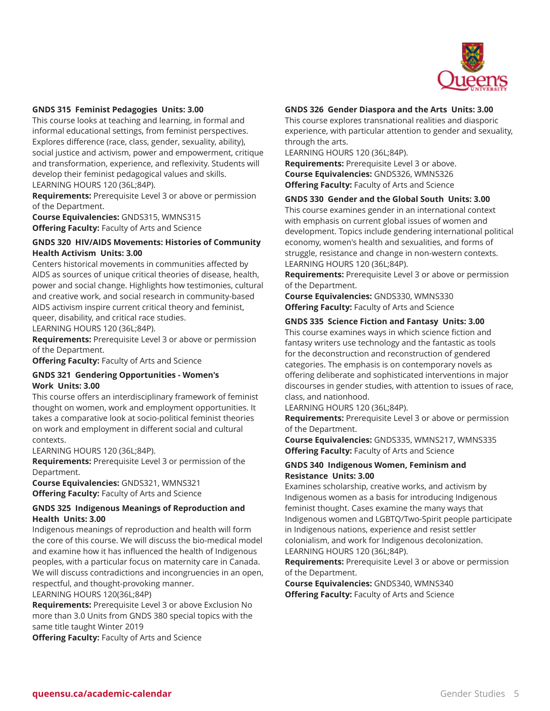

#### **GNDS 315 Feminist Pedagogies Units: 3.00**

This course looks at teaching and learning, in formal and informal educational settings, from feminist perspectives. Explores difference (race, class, gender, sexuality, ability), social justice and activism, power and empowerment, critique and transformation, experience, and reflexivity. Students will develop their feminist pedagogical values and skills. LEARNING HOURS 120 (36L;84P).

**Requirements:** Prerequisite Level 3 or above or permission of the Department.

**Course Equivalencies:** GNDS315, WMNS315 **Offering Faculty:** Faculty of Arts and Science

#### **GNDS 320 HIV/AIDS Movements: Histories of Community Health Activism Units: 3.00**

Centers historical movements in communities affected by AIDS as sources of unique critical theories of disease, health, power and social change. Highlights how testimonies, cultural and creative work, and social research in community-based AIDS activism inspire current critical theory and feminist, queer, disability, and critical race studies.

LEARNING HOURS 120 (36L;84P).

**Requirements:** Prerequisite Level 3 or above or permission of the Department.

**Offering Faculty:** Faculty of Arts and Science

#### **GNDS 321 Gendering Opportunities - Women's Work Units: 3.00**

This course offers an interdisciplinary framework of feminist thought on women, work and employment opportunities. It takes a comparative look at socio-political feminist theories on work and employment in different social and cultural contexts.

LEARNING HOURS 120 (36L;84P).

**Requirements:** Prerequisite Level 3 or permission of the Department.

**Course Equivalencies:** GNDS321, WMNS321 **Offering Faculty:** Faculty of Arts and Science

#### **GNDS 325 Indigenous Meanings of Reproduction and Health Units: 3.00**

Indigenous meanings of reproduction and health will form the core of this course. We will discuss the bio-medical model and examine how it has influenced the health of Indigenous peoples, with a particular focus on maternity care in Canada. We will discuss contradictions and incongruencies in an open, respectful, and thought-provoking manner.

LEARNING HOURS 120(36L;84P)

**Requirements:** Prerequisite Level 3 or above Exclusion No more than 3.0 Units from GNDS 380 special topics with the same title taught Winter 2019

**Offering Faculty:** Faculty of Arts and Science

#### **GNDS 326 Gender Diaspora and the Arts Units: 3.00**

This course explores transnational realities and diasporic experience, with particular attention to gender and sexuality, through the arts.

LEARNING HOURS 120 (36L;84P).

**Requirements:** Prerequisite Level 3 or above. **Course Equivalencies:** GNDS326, WMNS326 **Offering Faculty:** Faculty of Arts and Science

#### **GNDS 330 Gender and the Global South Units: 3.00**

This course examines gender in an international context with emphasis on current global issues of women and development. Topics include gendering international political economy, women's health and sexualities, and forms of struggle, resistance and change in non-western contexts. LEARNING HOURS 120 (36L;84P).

**Requirements:** Prerequisite Level 3 or above or permission of the Department.

**Course Equivalencies:** GNDS330, WMNS330 **Offering Faculty:** Faculty of Arts and Science

#### **GNDS 335 Science Fiction and Fantasy Units: 3.00**

This course examines ways in which science fiction and fantasy writers use technology and the fantastic as tools for the deconstruction and reconstruction of gendered categories. The emphasis is on contemporary novels as offering deliberate and sophisticated interventions in major discourses in gender studies, with attention to issues of race, class, and nationhood.

LEARNING HOURS 120 (36L;84P).

**Requirements:** Prerequisite Level 3 or above or permission of the Department.

**Course Equivalencies:** GNDS335, WMNS217, WMNS335 **Offering Faculty:** Faculty of Arts and Science

#### **GNDS 340 Indigenous Women, Feminism and Resistance Units: 3.00**

Examines scholarship, creative works, and activism by Indigenous women as a basis for introducing Indigenous feminist thought. Cases examine the many ways that Indigenous women and LGBTQ/Two-Spirit people participate in Indigenous nations, experience and resist settler colonialism, and work for Indigenous decolonization. LEARNING HOURS 120 (36L;84P).

**Requirements:** Prerequisite Level 3 or above or permission of the Department.

**Course Equivalencies:** GNDS340, WMNS340 **Offering Faculty:** Faculty of Arts and Science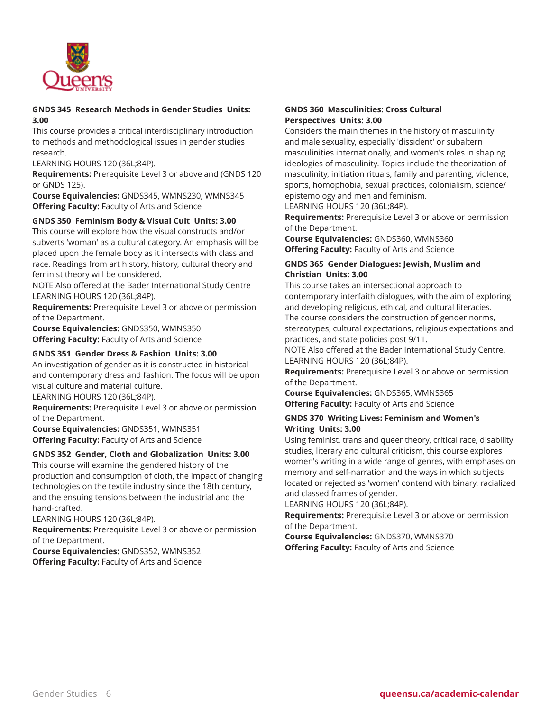

#### **GNDS 345 Research Methods in Gender Studies Units: 3.00**

This course provides a critical interdisciplinary introduction to methods and methodological issues in gender studies research.

LEARNING HOURS 120 (36L;84P).

**Requirements:** Prerequisite Level 3 or above and (GNDS 120 or GNDS 125).

**Course Equivalencies:** GNDS345, WMNS230, WMNS345 **Offering Faculty:** Faculty of Arts and Science

#### **GNDS 350 Feminism Body & Visual Cult Units: 3.00**

This course will explore how the visual constructs and/or subverts 'woman' as a cultural category. An emphasis will be placed upon the female body as it intersects with class and race. Readings from art history, history, cultural theory and feminist theory will be considered.

NOTE Also offered at the Bader International Study Centre LEARNING HOURS 120 (36L;84P).

**Requirements:** Prerequisite Level 3 or above or permission of the Department.

**Course Equivalencies:** GNDS350, WMNS350 **Offering Faculty:** Faculty of Arts and Science

#### **GNDS 351 Gender Dress & Fashion Units: 3.00**

An investigation of gender as it is constructed in historical and contemporary dress and fashion. The focus will be upon visual culture and material culture.

LEARNING HOURS 120 (36L;84P).

**Requirements:** Prerequisite Level 3 or above or permission of the Department.

**Course Equivalencies:** GNDS351, WMNS351 **Offering Faculty:** Faculty of Arts and Science

#### **GNDS 352 Gender, Cloth and Globalization Units: 3.00**

This course will examine the gendered history of the production and consumption of cloth, the impact of changing technologies on the textile industry since the 18th century, and the ensuing tensions between the industrial and the hand-crafted.

LEARNING HOURS 120 (36L;84P).

**Requirements:** Prerequisite Level 3 or above or permission of the Department.

**Course Equivalencies:** GNDS352, WMNS352 **Offering Faculty:** Faculty of Arts and Science

#### **GNDS 360 Masculinities: Cross Cultural Perspectives Units: 3.00**

Considers the main themes in the history of masculinity and male sexuality, especially 'dissident' or subaltern masculinities internationally, and women's roles in shaping ideologies of masculinity. Topics include the theorization of masculinity, initiation rituals, family and parenting, violence, sports, homophobia, sexual practices, colonialism, science/ epistemology and men and feminism.

LEARNING HOURS 120 (36L;84P).

**Requirements:** Prerequisite Level 3 or above or permission of the Department.

**Course Equivalencies:** GNDS360, WMNS360 **Offering Faculty:** Faculty of Arts and Science

#### **GNDS 365 Gender Dialogues: Jewish, Muslim and Christian Units: 3.00**

This course takes an intersectional approach to contemporary interfaith dialogues, with the aim of exploring and developing religious, ethical, and cultural literacies. The course considers the construction of gender norms, stereotypes, cultural expectations, religious expectations and practices, and state policies post 9/11.

NOTE Also offered at the Bader International Study Centre. LEARNING HOURS 120 (36L;84P).

**Requirements:** Prerequisite Level 3 or above or permission of the Department.

**Course Equivalencies:** GNDS365, WMNS365 **Offering Faculty:** Faculty of Arts and Science

#### **GNDS 370 Writing Lives: Feminism and Women's Writing Units: 3.00**

Using feminist, trans and queer theory, critical race, disability studies, literary and cultural criticism, this course explores women's writing in a wide range of genres, with emphases on memory and self-narration and the ways in which subjects located or rejected as 'women' contend with binary, racialized and classed frames of gender.

LEARNING HOURS 120 (36L;84P).

**Requirements:** Prerequisite Level 3 or above or permission of the Department.

**Course Equivalencies:** GNDS370, WMNS370 **Offering Faculty:** Faculty of Arts and Science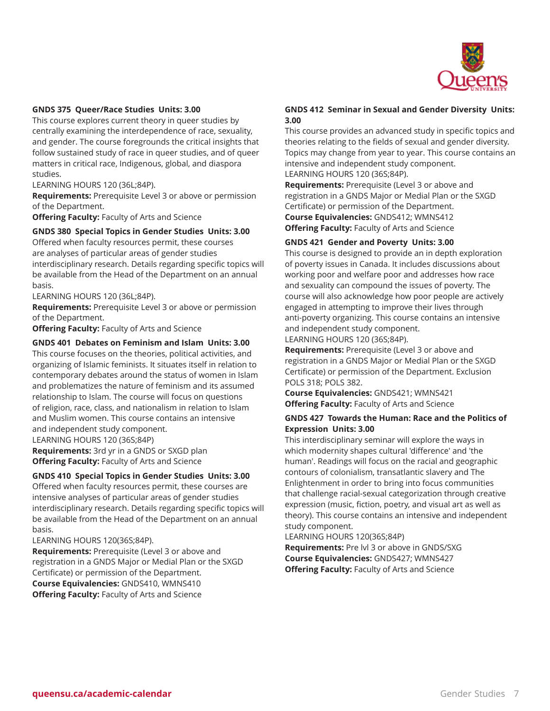

#### **GNDS 375 Queer/Race Studies Units: 3.00**

This course explores current theory in queer studies by centrally examining the interdependence of race, sexuality, and gender. The course foregrounds the critical insights that follow sustained study of race in queer studies, and of queer matters in critical race, Indigenous, global, and diaspora studies.

LEARNING HOURS 120 (36L;84P).

**Requirements:** Prerequisite Level 3 or above or permission of the Department.

**Offering Faculty:** Faculty of Arts and Science

#### **GNDS 380 Special Topics in Gender Studies Units: 3.00**

Offered when faculty resources permit, these courses are analyses of particular areas of gender studies interdisciplinary research. Details regarding specific topics will be available from the Head of the Department on an annual basis.

LEARNING HOURS 120 (36L;84P).

**Requirements:** Prerequisite Level 3 or above or permission of the Department.

**Offering Faculty:** Faculty of Arts and Science

#### **GNDS 401 Debates on Feminism and Islam Units: 3.00**

This course focuses on the theories, political activities, and organizing of Islamic feminists. It situates itself in relation to contemporary debates around the status of women in Islam and problematizes the nature of feminism and its assumed relationship to Islam. The course will focus on questions of religion, race, class, and nationalism in relation to Islam and Muslim women. This course contains an intensive and independent study component.

LEARNING HOURS 120 (36S;84P) **Requirements:** 3rd yr in a GNDS or SXGD plan **Offering Faculty:** Faculty of Arts and Science

#### **GNDS 410 Special Topics in Gender Studies Units: 3.00**

Offered when faculty resources permit, these courses are intensive analyses of particular areas of gender studies interdisciplinary research. Details regarding specific topics will be available from the Head of the Department on an annual basis.

#### LEARNING HOURS 120(36S;84P).

**Requirements:** Prerequisite (Level 3 or above and registration in a GNDS Major or Medial Plan or the SXGD Certificate) or permission of the Department. **Course Equivalencies:** GNDS410, WMNS410 **Offering Faculty:** Faculty of Arts and Science

#### **GNDS 412 Seminar in Sexual and Gender Diversity Units: 3.00**

This course provides an advanced study in specific topics and theories relating to the fields of sexual and gender diversity. Topics may change from year to year. This course contains an intensive and independent study component. LEARNING HOURS 120 (36S;84P).

**Requirements:** Prerequisite (Level 3 or above and registration in a GNDS Major or Medial Plan or the SXGD Certificate) or permission of the Department. **Course Equivalencies:** GNDS412; WMNS412 **Offering Faculty:** Faculty of Arts and Science

#### **GNDS 421 Gender and Poverty Units: 3.00**

This course is designed to provide an in depth exploration of poverty issues in Canada. It includes discussions about working poor and welfare poor and addresses how race and sexuality can compound the issues of poverty. The course will also acknowledge how poor people are actively engaged in attempting to improve their lives through anti-poverty organizing. This course contains an intensive and independent study component.

LEARNING HOURS 120 (36S;84P).

**Requirements:** Prerequisite (Level 3 or above and registration in a GNDS Major or Medial Plan or the SXGD Certificate) or permission of the Department. Exclusion POLS 318; POLS 382.

**Course Equivalencies:** GNDS421; WMNS421 **Offering Faculty:** Faculty of Arts and Science

#### **GNDS 427 Towards the Human: Race and the Politics of Expression Units: 3.00**

This interdisciplinary seminar will explore the ways in which modernity shapes cultural 'difference' and 'the human'. Readings will focus on the racial and geographic contours of colonialism, transatlantic slavery and The Enlightenment in order to bring into focus communities that challenge racial-sexual categorization through creative expression (music, fiction, poetry, and visual art as well as theory). This course contains an intensive and independent study component.

LEARNING HOURS 120(36S;84P)

**Requirements:** Pre lvl 3 or above in GNDS/SXG **Course Equivalencies:** GNDS427; WMNS427 **Offering Faculty:** Faculty of Arts and Science